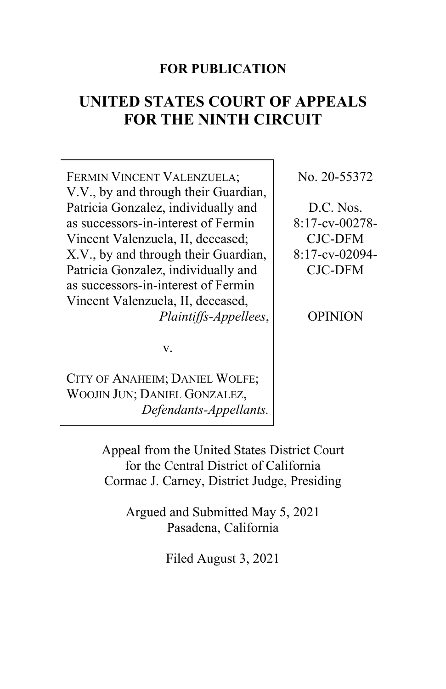# **FOR PUBLICATION**

# **UNITED STATES COURT OF APPEALS FOR THE NINTH CIRCUIT**

FERMIN VINCENT VALENZUELA; V.V., by and through their Guardian, Patricia Gonzalez, individually and as successors-in-interest of Fermin Vincent Valenzuela, II, deceased; X.V., by and through their Guardian, Patricia Gonzalez, individually and as successors-in-interest of Fermin Vincent Valenzuela, II, deceased, *Plaintiffs-Appellees*,

v.

CITY OF ANAHEIM; DANIEL WOLFE; WOOJIN JUN; DANIEL GONZALEZ, *Defendants-Appellants.* No. 20-55372

D.C. Nos. 8:17-cv-00278- CJC-DFM 8:17-cv-02094- CJC-DFM

OPINION

Appeal from the United States District Court for the Central District of California Cormac J. Carney, District Judge, Presiding

> Argued and Submitted May 5, 2021 Pasadena, California

> > Filed August 3, 2021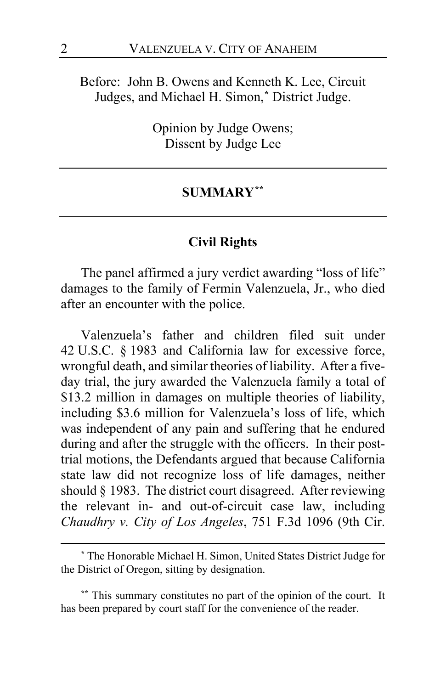# Before: John B. Owens and Kenneth K. Lee, Circuit Judges, and Michael H. Simon,**[\\*](#page-1-0)** District Judge.

Opinion by Judge Owens; Dissent by Judge Lee

### **SUMMARY[\\*\\*](#page-1-1)**

# **Civil Rights**

The panel affirmed a jury verdict awarding "loss of life" damages to the family of Fermin Valenzuela, Jr., who died after an encounter with the police.

Valenzuela's father and children filed suit under 42 U.S.C. § 1983 and California law for excessive force, wrongful death, and similar theories of liability. After a fiveday trial, the jury awarded the Valenzuela family a total of \$13.2 million in damages on multiple theories of liability, including \$3.6 million for Valenzuela's loss of life, which was independent of any pain and suffering that he endured during and after the struggle with the officers. In their posttrial motions, the Defendants argued that because California state law did not recognize loss of life damages, neither should § 1983. The district court disagreed. After reviewing the relevant in- and out-of-circuit case law, including *Chaudhry v. City of Los Angeles*, 751 F.3d 1096 (9th Cir.

<span id="page-1-0"></span>**<sup>\*</sup>** The Honorable Michael H. Simon, United States District Judge for the District of Oregon, sitting by designation.

<span id="page-1-1"></span>**<sup>\*\*</sup>** This summary constitutes no part of the opinion of the court. It has been prepared by court staff for the convenience of the reader.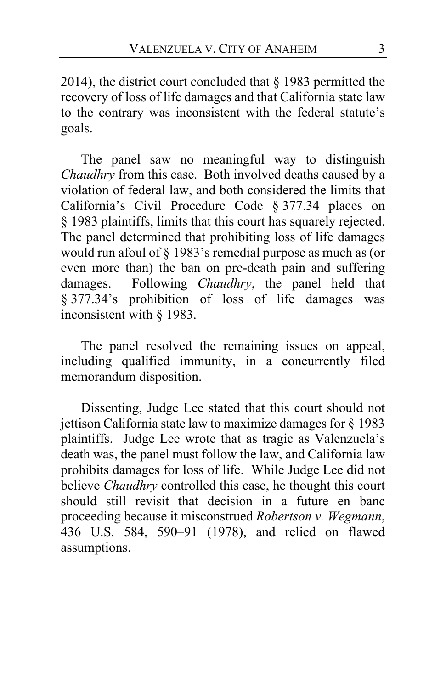2014), the district court concluded that § 1983 permitted the recovery of loss of life damages and that California state law to the contrary was inconsistent with the federal statute's goals.

The panel saw no meaningful way to distinguish *Chaudhry* from this case. Both involved deaths caused by a violation of federal law, and both considered the limits that California's Civil Procedure Code § 377.34 places on § 1983 plaintiffs, limits that this court has squarely rejected. The panel determined that prohibiting loss of life damages would run afoul of § 1983's remedial purpose as much as (or even more than) the ban on pre-death pain and suffering damages. Following *Chaudhry*, the panel held that § 377.34's prohibition of loss of life damages was inconsistent with § 1983.

The panel resolved the remaining issues on appeal, including qualified immunity, in a concurrently filed memorandum disposition.

Dissenting, Judge Lee stated that this court should not jettison California state law to maximize damages for § 1983 plaintiffs. Judge Lee wrote that as tragic as Valenzuela's death was, the panel must follow the law, and California law prohibits damages for loss of life. While Judge Lee did not believe *Chaudhry* controlled this case, he thought this court should still revisit that decision in a future en banc proceeding because it misconstrued *Robertson v. Wegmann*, 436 U.S. 584, 590–91 (1978), and relied on flawed assumptions.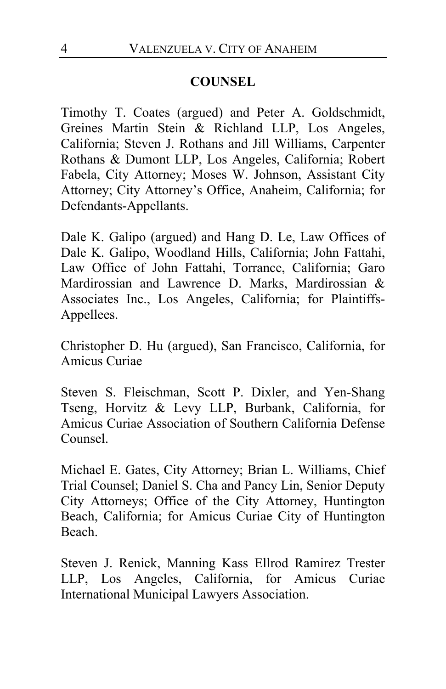# **COUNSEL**

Timothy T. Coates (argued) and Peter A. Goldschmidt, Greines Martin Stein & Richland LLP, Los Angeles, California; Steven J. Rothans and Jill Williams, Carpenter Rothans & Dumont LLP, Los Angeles, California; Robert Fabela, City Attorney; Moses W. Johnson, Assistant City Attorney; City Attorney's Office, Anaheim, California; for Defendants-Appellants.

Dale K. Galipo (argued) and Hang D. Le, Law Offices of Dale K. Galipo, Woodland Hills, California; John Fattahi, Law Office of John Fattahi, Torrance, California; Garo Mardirossian and Lawrence D. Marks, Mardirossian & Associates Inc., Los Angeles, California; for Plaintiffs-Appellees.

Christopher D. Hu (argued), San Francisco, California, for Amicus Curiae

Steven S. Fleischman, Scott P. Dixler, and Yen-Shang Tseng, Horvitz & Levy LLP, Burbank, California, for Amicus Curiae Association of Southern California Defense Counsel.

Michael E. Gates, City Attorney; Brian L. Williams, Chief Trial Counsel; Daniel S. Cha and Pancy Lin, Senior Deputy City Attorneys; Office of the City Attorney, Huntington Beach, California; for Amicus Curiae City of Huntington Beach.

Steven J. Renick, Manning Kass Ellrod Ramirez Trester LLP, Los Angeles, California, for Amicus Curiae International Municipal Lawyers Association.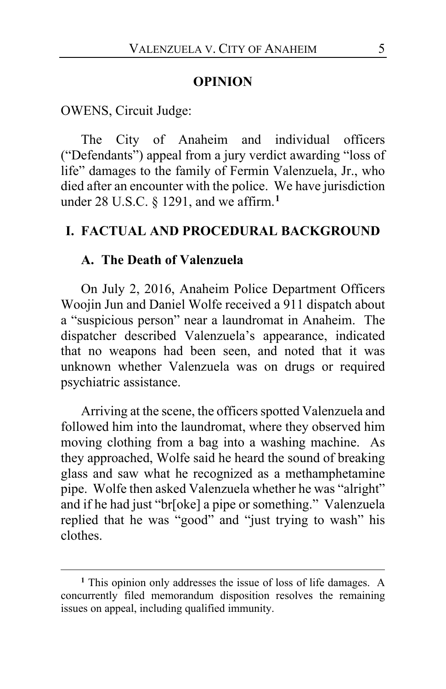#### **OPINION**

OWENS, Circuit Judge:

The City of Anaheim and individual officers ("Defendants") appeal from a jury verdict awarding "loss of life" damages to the family of Fermin Valenzuela, Jr., who died after an encounter with the police. We have jurisdiction under 28 U.S.C. § 1291, and we affirm.**[1](#page-4-0)**

# **I. FACTUAL AND PROCEDURAL BACKGROUND**

#### **A. The Death of Valenzuela**

On July 2, 2016, Anaheim Police Department Officers Woojin Jun and Daniel Wolfe received a 911 dispatch about a "suspicious person" near a laundromat in Anaheim. The dispatcher described Valenzuela's appearance, indicated that no weapons had been seen, and noted that it was unknown whether Valenzuela was on drugs or required psychiatric assistance.

Arriving at the scene, the officers spotted Valenzuela and followed him into the laundromat, where they observed him moving clothing from a bag into a washing machine. As they approached, Wolfe said he heard the sound of breaking glass and saw what he recognized as a methamphetamine pipe. Wolfe then asked Valenzuela whether he was "alright" and if he had just "br[oke] a pipe or something." Valenzuela replied that he was "good" and "just trying to wash" his clothes.

<span id="page-4-0"></span>**<sup>1</sup>** This opinion only addresses the issue of loss of life damages. A concurrently filed memorandum disposition resolves the remaining issues on appeal, including qualified immunity.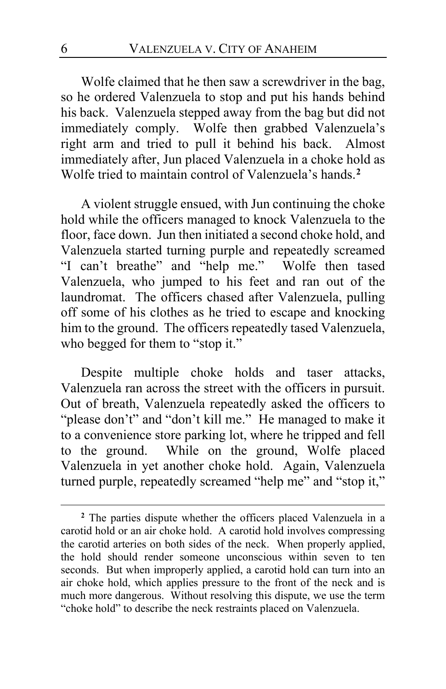Wolfe claimed that he then saw a screwdriver in the bag, so he ordered Valenzuela to stop and put his hands behind his back. Valenzuela stepped away from the bag but did not immediately comply. Wolfe then grabbed Valenzuela's right arm and tried to pull it behind his back. Almost immediately after, Jun placed Valenzuela in a choke hold as Wolfe tried to maintain control of Valenzuela's hands.**[2](#page-5-0)**

A violent struggle ensued, with Jun continuing the choke hold while the officers managed to knock Valenzuela to the floor, face down. Jun then initiated a second choke hold, and Valenzuela started turning purple and repeatedly screamed "I can't breathe" and "help me." Wolfe then tased Valenzuela, who jumped to his feet and ran out of the laundromat. The officers chased after Valenzuela, pulling off some of his clothes as he tried to escape and knocking him to the ground. The officers repeatedly tased Valenzuela, who begged for them to "stop it."

Despite multiple choke holds and taser attacks, Valenzuela ran across the street with the officers in pursuit. Out of breath, Valenzuela repeatedly asked the officers to "please don't" and "don't kill me." He managed to make it to a convenience store parking lot, where he tripped and fell to the ground. While on the ground, Wolfe placed Valenzuela in yet another choke hold. Again, Valenzuela turned purple, repeatedly screamed "help me" and "stop it,"

<span id="page-5-0"></span>**<sup>2</sup>** The parties dispute whether the officers placed Valenzuela in a carotid hold or an air choke hold. A carotid hold involves compressing the carotid arteries on both sides of the neck. When properly applied, the hold should render someone unconscious within seven to ten seconds. But when improperly applied, a carotid hold can turn into an air choke hold, which applies pressure to the front of the neck and is much more dangerous. Without resolving this dispute, we use the term "choke hold" to describe the neck restraints placed on Valenzuela.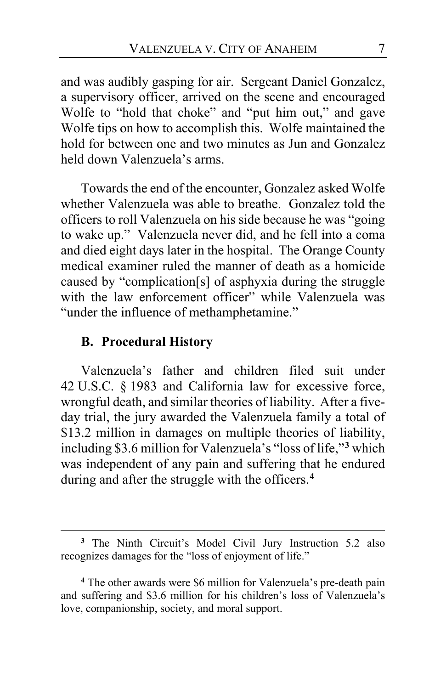and was audibly gasping for air. Sergeant Daniel Gonzalez, a supervisory officer, arrived on the scene and encouraged Wolfe to "hold that choke" and "put him out," and gave Wolfe tips on how to accomplish this. Wolfe maintained the hold for between one and two minutes as Jun and Gonzalez held down Valenzuela's arms.

Towards the end of the encounter, Gonzalez asked Wolfe whether Valenzuela was able to breathe. Gonzalez told the officers to roll Valenzuela on his side because he was "going to wake up." Valenzuela never did, and he fell into a coma and died eight days later in the hospital. The Orange County medical examiner ruled the manner of death as a homicide caused by "complication[s] of asphyxia during the struggle with the law enforcement officer" while Valenzuela was "under the influence of methamphetamine."

## **B. Procedural History**

Valenzuela's father and children filed suit under 42 U.S.C. § 1983 and California law for excessive force, wrongful death, and similar theories of liability. After a fiveday trial, the jury awarded the Valenzuela family a total of \$13.2 million in damages on multiple theories of liability, including \$3.6 million for Valenzuela's "loss of life,"**[3](#page-6-0)** which was independent of any pain and suffering that he endured during and after the struggle with the officers.**[4](#page-6-1)**

<span id="page-6-0"></span>**<sup>3</sup>** The Ninth Circuit's Model Civil Jury Instruction 5.2 also recognizes damages for the "loss of enjoyment of life."

<span id="page-6-1"></span>**<sup>4</sup>** The other awards were \$6 million for Valenzuela's pre-death pain and suffering and \$3.6 million for his children's loss of Valenzuela's love, companionship, society, and moral support.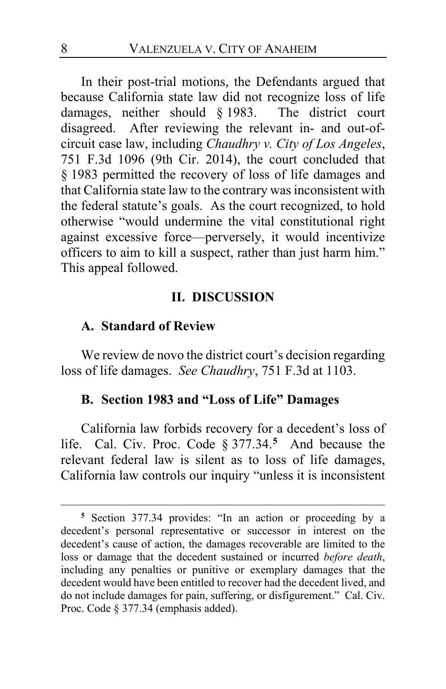In their post-trial motions, the Defendants argued that because California state law did not recognize loss of life damages, neither should § 1983. The district court damages, neither should  $§$  1983. disagreed. After reviewing the relevant in- and out-ofcircuit case law, including *Chaudhry v. City of Los Angeles*, 751 F.3d 1096 (9th Cir. 2014), the court concluded that § 1983 permitted the recovery of loss of life damages and that California state law to the contrary was inconsistent with the federal statute's goals. As the court recognized, to hold otherwise "would undermine the vital constitutional right against excessive force—perversely, it would incentivize officers to aim to kill a suspect, rather than just harm him." This appeal followed.

### **II. DISCUSSION**

### **A. Standard of Review**

We review de novo the district court's decision regarding loss of life damages. *See Chaudhry*, 751 F.3d at 1103.

### **B. Section 1983 and "Loss of Life" Damages**

California law forbids recovery for a decedent's loss of life. Cal. Civ. Proc. Code § 377.34.**[5](#page-7-0)** And because the relevant federal law is silent as to loss of life damages, California law controls our inquiry "unless it is inconsistent

<span id="page-7-0"></span>**<sup>5</sup>** Section 377.34 provides: "In an action or proceeding by a decedent's personal representative or successor in interest on the decedent's cause of action, the damages recoverable are limited to the loss or damage that the decedent sustained or incurred *before death*, including any penalties or punitive or exemplary damages that the decedent would have been entitled to recover had the decedent lived, and do not include damages for pain, suffering, or disfigurement." Cal. Civ. Proc. Code § 377.34 (emphasis added).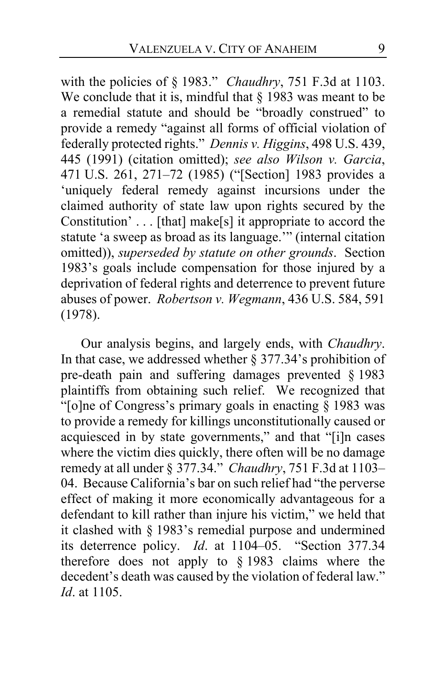with the policies of § 1983." *Chaudhry*, 751 F.3d at 1103. We conclude that it is, mindful that  $\S$  1983 was meant to be a remedial statute and should be "broadly construed" to provide a remedy "against all forms of official violation of federally protected rights." *Dennis v. Higgins*, 498 U.S. 439, 445 (1991) (citation omitted); *see also Wilson v. Garcia*, 471 U.S. 261, 271–72 (1985) ("[Section] 1983 provides a 'uniquely federal remedy against incursions under the claimed authority of state law upon rights secured by the Constitution' . . . [that] make[s] it appropriate to accord the statute 'a sweep as broad as its language.'" (internal citation omitted)), *superseded by statute on other grounds*. Section 1983's goals include compensation for those injured by a deprivation of federal rights and deterrence to prevent future abuses of power. *Robertson v. Wegmann*, 436 U.S. 584, 591 (1978).

Our analysis begins, and largely ends, with *Chaudhry*. In that case, we addressed whether  $\S$  377.34's prohibition of pre-death pain and suffering damages prevented § 1983 plaintiffs from obtaining such relief. We recognized that "[o]ne of Congress's primary goals in enacting  $\S$  1983 was to provide a remedy for killings unconstitutionally caused or acquiesced in by state governments," and that "[i]n cases where the victim dies quickly, there often will be no damage remedy at all under § 377.34." *Chaudhry*, 751 F.3d at 1103– 04. Because California's bar on such relief had "the perverse effect of making it more economically advantageous for a defendant to kill rather than injure his victim," we held that it clashed with § 1983's remedial purpose and undermined its deterrence policy. *Id*. at 1104–05. "Section 377.34 therefore does not apply to § 1983 claims where the decedent's death was caused by the violation of federal law." *Id*. at 1105.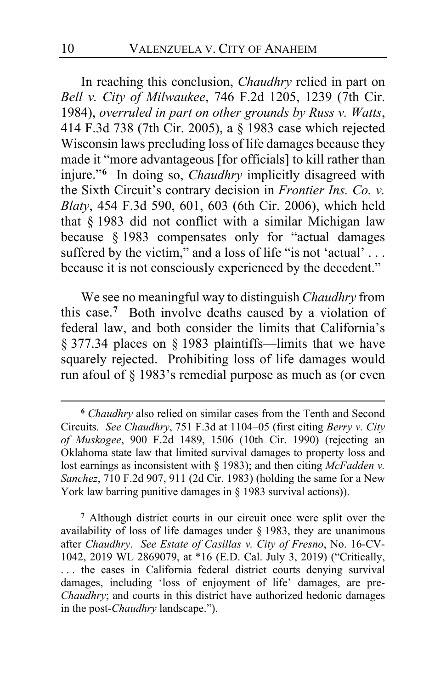In reaching this conclusion, *Chaudhry* relied in part on *Bell v. City of Milwaukee*, 746 F.2d 1205, 1239 (7th Cir. 1984), *overruled in part on other grounds by Russ v. Watts*, 414 F.3d 738 (7th Cir. 2005), a § 1983 case which rejected Wisconsin laws precluding loss of life damages because they made it "more advantageous [for officials] to kill rather than injure."**[6](#page-9-0)** In doing so, *Chaudhry* implicitly disagreed with the Sixth Circuit's contrary decision in *Frontier Ins. Co. v. Blaty*, 454 F.3d 590, 601, 603 (6th Cir. 2006), which held that § 1983 did not conflict with a similar Michigan law because § 1983 compensates only for "actual damages suffered by the victim," and a loss of life "is not 'actual'... because it is not consciously experienced by the decedent."

We see no meaningful way to distinguish *Chaudhry* from this case.**[7](#page-9-1)** Both involve deaths caused by a violation of federal law, and both consider the limits that California's § 377.34 places on § 1983 plaintiffs—limits that we have squarely rejected. Prohibiting loss of life damages would run afoul of § 1983's remedial purpose as much as (or even

<span id="page-9-0"></span>**<sup>6</sup>** *Chaudhry* also relied on similar cases from the Tenth and Second Circuits. *See Chaudhry*, 751 F.3d at 1104–05 (first citing *Berry v. City of Muskogee*, 900 F.2d 1489, 1506 (10th Cir. 1990) (rejecting an Oklahoma state law that limited survival damages to property loss and lost earnings as inconsistent with § 1983); and then citing *McFadden v. Sanchez*, 710 F.2d 907, 911 (2d Cir. 1983) (holding the same for a New York law barring punitive damages in § 1983 survival actions)).

<span id="page-9-1"></span>**<sup>7</sup>** Although district courts in our circuit once were split over the availability of loss of life damages under § 1983, they are unanimous after *Chaudhry*. *See Estate of Casillas v. City of Fresno*, No. 16-CV-1042, 2019 WL 2869079, at \*16 (E.D. Cal. July 3, 2019) ("Critically, ... the cases in California federal district courts denying survival damages, including 'loss of enjoyment of life' damages, are pre-*Chaudhry*; and courts in this district have authorized hedonic damages in the post-*Chaudhry* landscape.").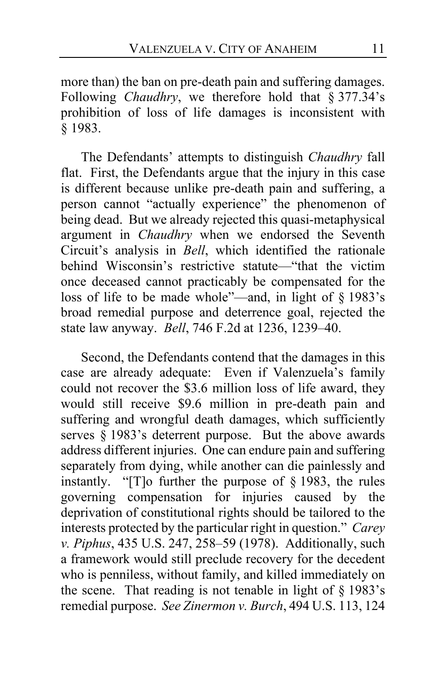more than) the ban on pre-death pain and suffering damages. Following *Chaudhry*, we therefore hold that § 377.34's prohibition of loss of life damages is inconsistent with § 1983.

The Defendants' attempts to distinguish *Chaudhry* fall flat. First, the Defendants argue that the injury in this case is different because unlike pre-death pain and suffering, a person cannot "actually experience" the phenomenon of being dead. But we already rejected this quasi-metaphysical argument in *Chaudhry* when we endorsed the Seventh Circuit's analysis in *Bell*, which identified the rationale behind Wisconsin's restrictive statute—"that the victim once deceased cannot practicably be compensated for the loss of life to be made whole"—and, in light of § 1983's broad remedial purpose and deterrence goal, rejected the state law anyway. *Bell*, 746 F.2d at 1236, 1239–40.

<span id="page-10-1"></span><span id="page-10-0"></span>Second, the Defendants contend that the damages in this case are already adequate: Even if Valenzuela's family could not recover the \$3.6 million loss of life award, they would still receive \$9.6 million in pre-death pain and suffering and wrongful death damages, which sufficiently serves  $\S$  1983's deterrent purpose. But the above awards address different injuries. One can endure pain and suffering separately from dying, while another can die painlessly and instantly. "[T]o further the purpose of  $\S$  1983, the rules governing compensation for injuries caused by the deprivation of constitutional rights should be tailored to the interests protected by the particular right in question." *Carey v. Piphus*, 435 U.S. 247, 258–59 (1978). Additionally, such a framework would still preclude recovery for the decedent who is penniless, without family, and killed immediately on the scene. That reading is not tenable in light of  $\S$  1983's remedial purpose. *See Zinermon v. Burch*, 494 U.S. 113, 124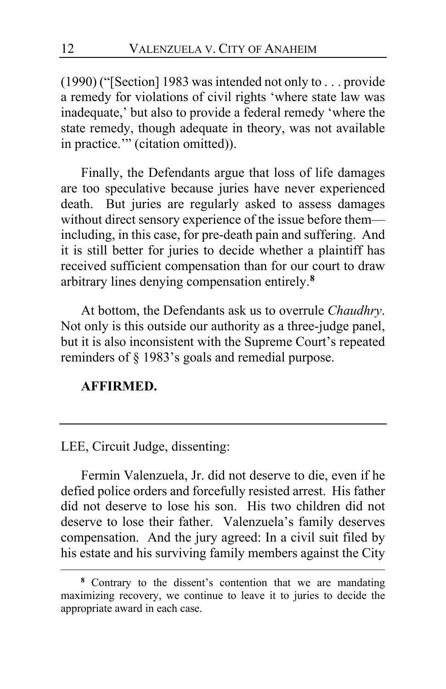(1990) ("[Section] 1983 was intended not only to . . . provide a remedy for violations of civil rights 'where state law was inadequate,' but also to provide a federal remedy 'where the state remedy, though adequate in theory, was not available in practice.'" (citation omitted)).

Finally, the Defendants argue that loss of life damages are too speculative because juries have never experienced death. But juries are regularly asked to assess damages without direct sensory experience of the issue before them including, in this case, for pre-death pain and suffering. And it is still better for juries to decide whether a plaintiff has received sufficient compensation than for our court to draw arbitrary lines denying compensation entirely.**[8](#page-11-0)**

At bottom, the Defendants ask us to overrule *Chaudhry*. Not only is this outside our authority as a three-judge panel, but it is also inconsistent with the Supreme Court's repeated reminders of § 1983's goals and remedial purpose.

# **AFFIRMED.**

LEE, Circuit Judge, dissenting:

Fermin Valenzuela, Jr. did not deserve to die, even if he defied police orders and forcefully resisted arrest. His father did not deserve to lose his son. His two children did not deserve to lose their father. Valenzuela's family deserves compensation. And the jury agreed: In a civil suit filed by his estate and his surviving family members against the City

<span id="page-11-0"></span>**<sup>8</sup>** Contrary to the dissent's contention that we are mandating maximizing recovery, we continue to leave it to juries to decide the appropriate award in each case.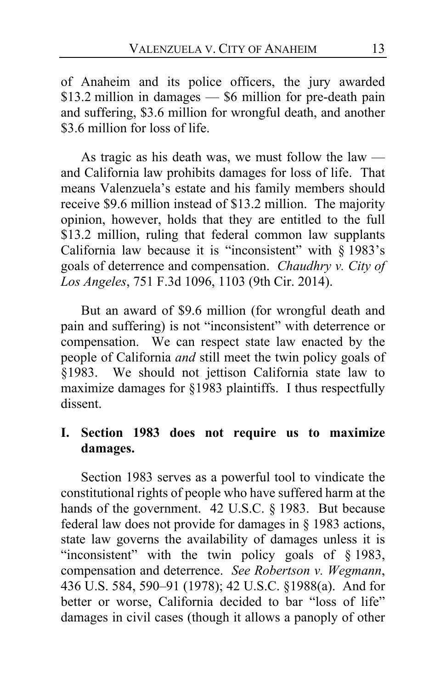of Anaheim and its police officers, the jury awarded \$13.2 million in damages — \$6 million for pre-death pain and suffering, \$3.6 million for wrongful death, and another \$3.6 million for loss of life.

As tragic as his death was, we must follow the law  $$ and California law prohibits damages for loss of life. That means Valenzuela's estate and his family members should receive \$9.6 million instead of \$13.2 million. The majority opinion, however, holds that they are entitled to the full \$13.2 million, ruling that federal common law supplants California law because it is "inconsistent" with  $\S$  1983's goals of deterrence and compensation. *Chaudhry v. City of Los Angeles*, 751 F.3d 1096, 1103 (9th Cir. 2014).

But an award of \$9.6 million (for wrongful death and pain and suffering) is not "inconsistent" with deterrence or compensation. We can respect state law enacted by the people of California *and* still meet the twin policy goals of §1983. We should not jettison California state law to maximize damages for §1983 plaintiffs. I thus respectfully dissent.

# **I. Section 1983 does not require us to maximize damages.**

Section 1983 serves as a powerful tool to vindicate the constitutional rights of people who have suffered harm at the hands of the government. 42 U.S.C. § 1983. But because federal law does not provide for damages in § 1983 actions, state law governs the availability of damages unless it is "inconsistent" with the twin policy goals of § 1983, compensation and deterrence. *See Robertson v. Wegmann*, 436 U.S. 584, 590–91 (1978); 42 U.S.C. §1988(a). And for better or worse, California decided to bar "loss of life" damages in civil cases (though it allows a panoply of other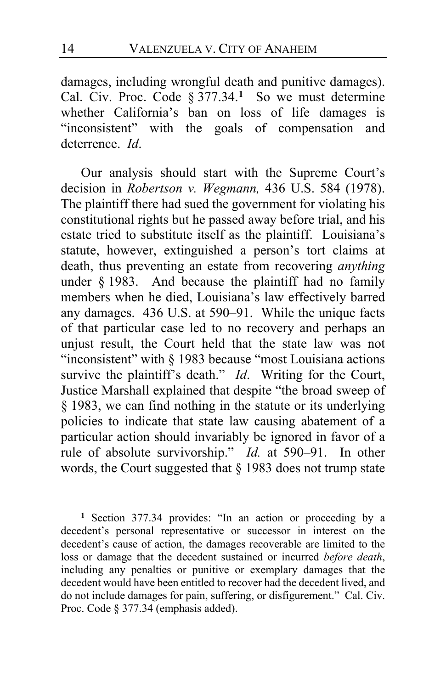damages, including wrongful death and punitive damages). Cal. Civ. Proc. Code § 377.34.**[1](#page-13-0)** So we must determine whether California's ban on loss of life damages is "inconsistent" with the goals of compensation and deterrence. *Id*.

Our analysis should start with the Supreme Court's decision in *Robertson v. Wegmann,* 436 U.S. 584 (1978). The plaintiff there had sued the government for violating his constitutional rights but he passed away before trial, and his estate tried to substitute itself as the plaintiff. Louisiana's statute, however, extinguished a person's tort claims at death, thus preventing an estate from recovering *anything* under § 1983. And because the plaintiff had no family members when he died, Louisiana's law effectively barred any damages. 436 U.S. at 590–91. While the unique facts of that particular case led to no recovery and perhaps an unjust result, the Court held that the state law was not "inconsistent" with § 1983 because "most Louisiana actions survive the plaintiff's death." *Id*. Writing for the Court, Justice Marshall explained that despite "the broad sweep of § 1983, we can find nothing in the statute or its underlying policies to indicate that state law causing abatement of a particular action should invariably be ignored in favor of a rule of absolute survivorship." *Id.* at 590–91. In other words, the Court suggested that § 1983 does not trump state

<span id="page-13-0"></span>**<sup>1</sup>** Section 377.34 provides: "In an action or proceeding by a decedent's personal representative or successor in interest on the decedent's cause of action, the damages recoverable are limited to the loss or damage that the decedent sustained or incurred *before death*, including any penalties or punitive or exemplary damages that the decedent would have been entitled to recover had the decedent lived, and do not include damages for pain, suffering, or disfigurement." Cal. Civ. Proc. Code § 377.34 (emphasis added).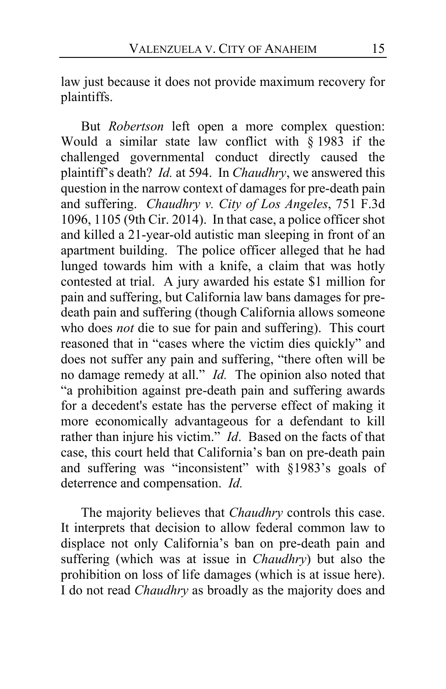law just because it does not provide maximum recovery for plaintiffs.

But *Robertson* left open a more complex question: Would a similar state law conflict with § 1983 if the challenged governmental conduct directly caused the plaintiff's death? *Id.* at 594. In *Chaudhry*, we answered this question in the narrow context of damages for pre-death pain and suffering. *Chaudhry v. City of Los Angeles*, 751 F.3d 1096, 1105 (9th Cir. 2014). In that case, a police officer shot and killed a 21-year-old autistic man sleeping in front of an apartment building. The police officer alleged that he had lunged towards him with a knife, a claim that was hotly contested at trial. A jury awarded his estate \$1 million for pain and suffering, but California law bans damages for predeath pain and suffering (though California allows someone who does *not* die to sue for pain and suffering). This court reasoned that in "cases where the victim dies quickly" and does not suffer any pain and suffering, "there often will be no damage remedy at all." *Id.* The opinion also noted that "a prohibition against pre-death pain and suffering awards for a decedent's estate has the perverse effect of making it more economically advantageous for a defendant to kill rather than injure his victim." *Id*. Based on the facts of that case, this court held that California's ban on pre-death pain and suffering was "inconsistent" with §1983's goals of deterrence and compensation. *Id.*

The majority believes that *Chaudhry* controls this case. It interprets that decision to allow federal common law to displace not only California's ban on pre-death pain and suffering (which was at issue in *Chaudhry*) but also the prohibition on loss of life damages (which is at issue here). I do not read *Chaudhry* as broadly as the majority does and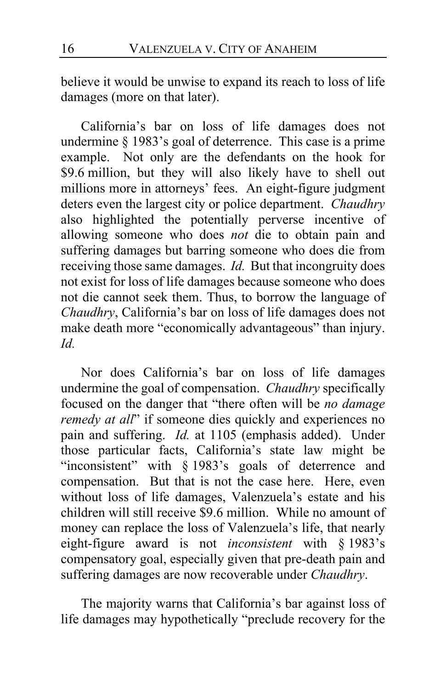believe it would be unwise to expand its reach to loss of life damages (more on that later).

California's bar on loss of life damages does not undermine § 1983's goal of deterrence. This case is a prime example. Not only are the defendants on the hook for \$9.6 million, but they will also likely have to shell out millions more in attorneys' fees. An eight-figure judgment deters even the largest city or police department. *Chaudhry* also highlighted the potentially perverse incentive of allowing someone who does *not* die to obtain pain and suffering damages but barring someone who does die from receiving those same damages. *Id.* But that incongruity does not exist for loss of life damages because someone who does not die cannot seek them. Thus, to borrow the language of *Chaudhry*, California's bar on loss of life damages does not make death more "economically advantageous" than injury. *Id.*

Nor does California's bar on loss of life damages undermine the goal of compensation. *Chaudhry* specifically focused on the danger that "there often will be *no damage remedy at all*" if someone dies quickly and experiences no pain and suffering. *Id.* at 1105 (emphasis added). Under those particular facts, California's state law might be "inconsistent" with § 1983's goals of deterrence and compensation. But that is not the case here. Here, even without loss of life damages, Valenzuela's estate and his children will still receive \$9.6 million. While no amount of money can replace the loss of Valenzuela's life, that nearly eight-figure award is not *inconsistent* with § 1983's compensatory goal, especially given that pre-death pain and suffering damages are now recoverable under *Chaudhry*.

The majority warns that California's bar against loss of life damages may hypothetically "preclude recovery for the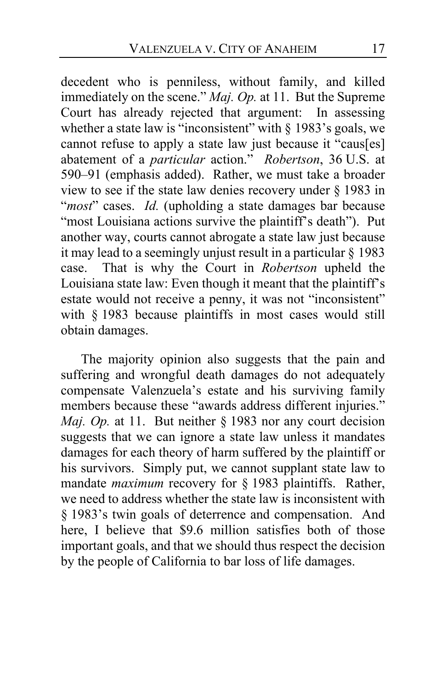decedent who is penniless, without family, and killed immediately on the scene." *Maj. Op.* at [11.](#page-10-0) But the Supreme Court has already rejected that argument: In assessing whether a state law is "inconsistent" with  $\S$  1983's goals, we cannot refuse to apply a state law just because it "caus[es] abatement of a *particular* action." *Robertson*, 36 U.S. at 590–91 (emphasis added). Rather, we must take a broader view to see if the state law denies recovery under § 1983 in "*most*" cases. *Id.* (upholding a state damages bar because "most Louisiana actions survive the plaintiff's death"). Put another way, courts cannot abrogate a state law just because it may lead to a seemingly unjust result in a particular § 1983 case. That is why the Court in *Robertson* upheld the Louisiana state law: Even though it meant that the plaintiff's estate would not receive a penny, it was not "inconsistent" with § 1983 because plaintiffs in most cases would still obtain damages.

The majority opinion also suggests that the pain and suffering and wrongful death damages do not adequately compensate Valenzuela's estate and his surviving family members because these "awards address different injuries." *Maj. Op.* at [11.](#page-10-1) But neither § 1983 nor any court decision suggests that we can ignore a state law unless it mandates damages for each theory of harm suffered by the plaintiff or his survivors. Simply put, we cannot supplant state law to mandate *maximum* recovery for § 1983 plaintiffs. Rather, we need to address whether the state law is inconsistent with § 1983's twin goals of deterrence and compensation. And here, I believe that \$9.6 million satisfies both of those important goals, and that we should thus respect the decision by the people of California to bar loss of life damages.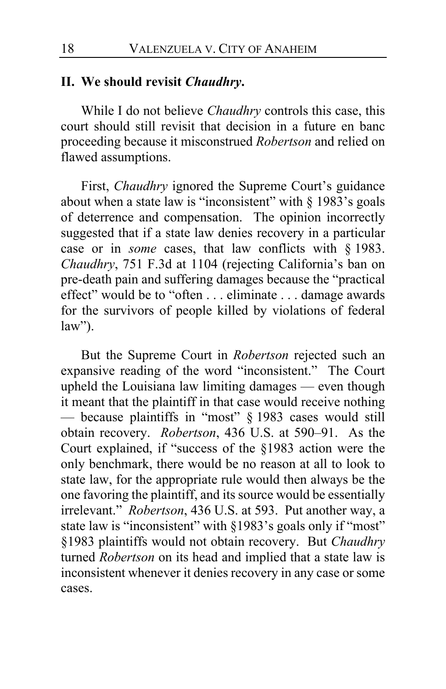# **II. We should revisit** *Chaudhry***.**

While I do not believe *Chaudhry* controls this case, this court should still revisit that decision in a future en banc proceeding because it misconstrued *Robertson* and relied on flawed assumptions.

First, *Chaudhry* ignored the Supreme Court's guidance about when a state law is "inconsistent" with § 1983's goals of deterrence and compensation. The opinion incorrectly suggested that if a state law denies recovery in a particular case or in *some* cases, that law conflicts with § 1983. *Chaudhry*, 751 F.3d at 1104 (rejecting California's ban on pre-death pain and suffering damages because the "practical effect" would be to "often . . . eliminate . . . damage awards for the survivors of people killed by violations of federal  $law$ ").

But the Supreme Court in *Robertson* rejected such an expansive reading of the word "inconsistent." The Court upheld the Louisiana law limiting damages — even though it meant that the plaintiff in that case would receive nothing — because plaintiffs in "most" § 1983 cases would still obtain recovery. *Robertson*, 436 U.S. at 590–91. As the Court explained, if "success of the §1983 action were the only benchmark, there would be no reason at all to look to state law, for the appropriate rule would then always be the one favoring the plaintiff, and its source would be essentially irrelevant." *Robertson*, 436 U.S. at 593. Put another way, a state law is "inconsistent" with §1983's goals only if "most" §1983 plaintiffs would not obtain recovery. But *Chaudhry*  turned *Robertson* on its head and implied that a state law is inconsistent whenever it denies recovery in any case or some cases.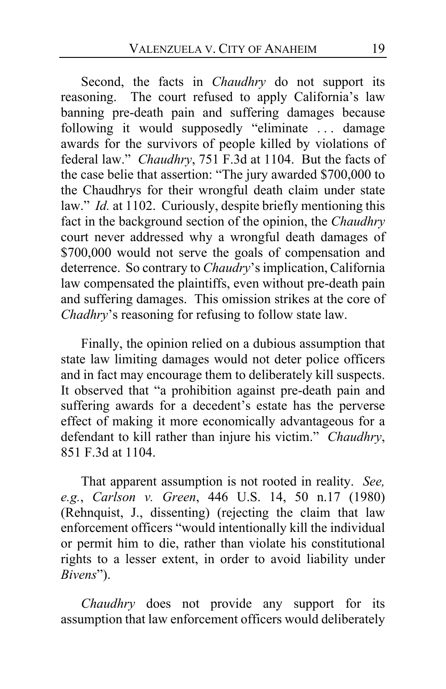Second, the facts in *Chaudhry* do not support its reasoning. The court refused to apply California's law banning pre-death pain and suffering damages because following it would supposedly "eliminate ... damage awards for the survivors of people killed by violations of federal law." *Chaudhry*, 751 F.3d at 1104. But the facts of the case belie that assertion: "The jury awarded \$700,000 to the Chaudhrys for their wrongful death claim under state law." *Id.* at 1102. Curiously, despite briefly mentioning this fact in the background section of the opinion, the *Chaudhry* court never addressed why a wrongful death damages of \$700,000 would not serve the goals of compensation and deterrence. So contrary to *Chaudry*'s implication, California law compensated the plaintiffs, even without pre-death pain and suffering damages. This omission strikes at the core of *Chadhry*'s reasoning for refusing to follow state law.

Finally, the opinion relied on a dubious assumption that state law limiting damages would not deter police officers and in fact may encourage them to deliberately kill suspects. It observed that "a prohibition against pre-death pain and suffering awards for a decedent's estate has the perverse effect of making it more economically advantageous for a defendant to kill rather than injure his victim." *Chaudhry*, 851 F.3d at 1104.

That apparent assumption is not rooted in reality. *See, e.g.*, *Carlson v. Green*, 446 U.S. 14, 50 n.17 (1980) (Rehnquist, J., dissenting) (rejecting the claim that law enforcement officers "would intentionally kill the individual or permit him to die, rather than violate his constitutional rights to a lesser extent, in order to avoid liability under *Bivens*").

*Chaudhry* does not provide any support for its assumption that law enforcement officers would deliberately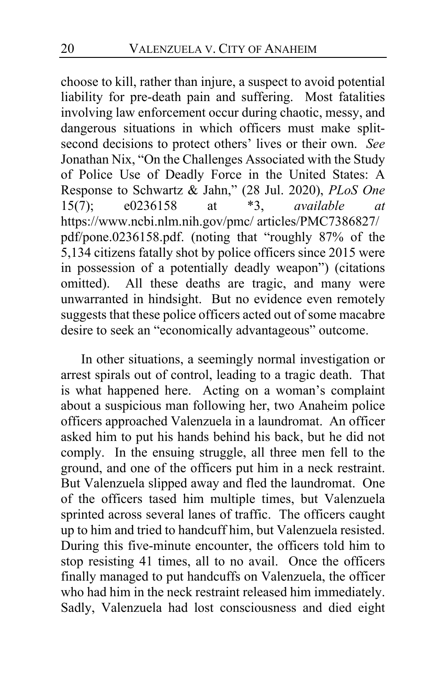choose to kill, rather than injure, a suspect to avoid potential liability for pre-death pain and suffering. Most fatalities involving law enforcement occur during chaotic, messy, and dangerous situations in which officers must make splitsecond decisions to protect others' lives or their own. *See*  Jonathan Nix, "On the Challenges Associated with the Study of Police Use of Deadly Force in the United States: A Response to Schwartz & Jahn," (28 Jul. 2020), *PLoS One* 15(7); e0236158 at \*3, *available at* https://www.ncbi.nlm.nih.gov/pmc/ articles/PMC7386827/ pdf/pone.0236158.pdf. (noting that "roughly 87% of the 5,134 citizens fatally shot by police officers since 2015 were in possession of a potentially deadly weapon") (citations omitted). All these deaths are tragic, and many were unwarranted in hindsight. But no evidence even remotely suggests that these police officers acted out of some macabre desire to seek an "economically advantageous" outcome.

In other situations, a seemingly normal investigation or arrest spirals out of control, leading to a tragic death. That is what happened here. Acting on a woman's complaint about a suspicious man following her, two Anaheim police officers approached Valenzuela in a laundromat. An officer asked him to put his hands behind his back, but he did not comply. In the ensuing struggle, all three men fell to the ground, and one of the officers put him in a neck restraint. But Valenzuela slipped away and fled the laundromat. One of the officers tased him multiple times, but Valenzuela sprinted across several lanes of traffic. The officers caught up to him and tried to handcuff him, but Valenzuela resisted. During this five-minute encounter, the officers told him to stop resisting 41 times, all to no avail. Once the officers finally managed to put handcuffs on Valenzuela, the officer who had him in the neck restraint released him immediately. Sadly, Valenzuela had lost consciousness and died eight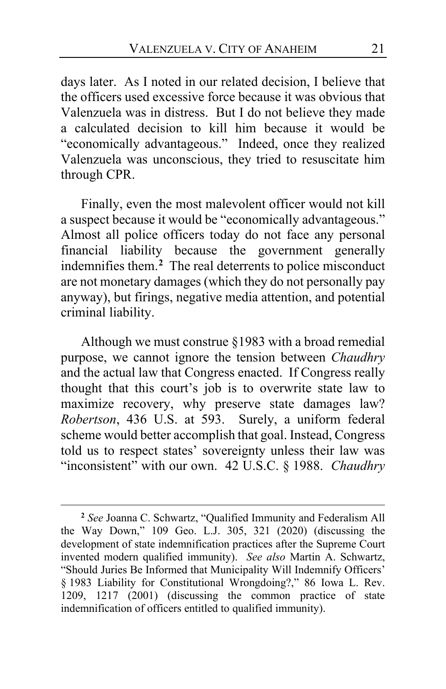days later. As I noted in our related decision, I believe that the officers used excessive force because it was obvious that Valenzuela was in distress. But I do not believe they made a calculated decision to kill him because it would be "economically advantageous." Indeed, once they realized Valenzuela was unconscious, they tried to resuscitate him through CPR.

Finally, even the most malevolent officer would not kill a suspect because it would be "economically advantageous." Almost all police officers today do not face any personal financial liability because the government generally indemnifies them.**[2](#page-20-0)** The real deterrents to police misconduct are not monetary damages (which they do not personally pay anyway), but firings, negative media attention, and potential criminal liability.

Although we must construe §1983 with a broad remedial purpose, we cannot ignore the tension between *Chaudhry* and the actual law that Congress enacted. If Congress really thought that this court's job is to overwrite state law to maximize recovery, why preserve state damages law? *Robertson*, 436 U.S. at 593. Surely, a uniform federal scheme would better accomplish that goal. Instead, Congress told us to respect states' sovereignty unless their law was "inconsistent" with our own. 42 U.S.C. § 1988. *Chaudhry* 

<span id="page-20-0"></span>**<sup>2</sup>** *See* Joanna C. Schwartz, "Qualified Immunity and Federalism All the Way Down," 109 Geo. L.J. 305, 321 (2020) (discussing the development of state indemnification practices after the Supreme Court invented modern qualified immunity). *See also* Martin A. Schwartz, "Should Juries Be Informed that Municipality Will Indemnify Officers' § 1983 Liability for Constitutional Wrongdoing?," 86 Iowa L. Rev. 1209, 1217 (2001) (discussing the common practice of state indemnification of officers entitled to qualified immunity).